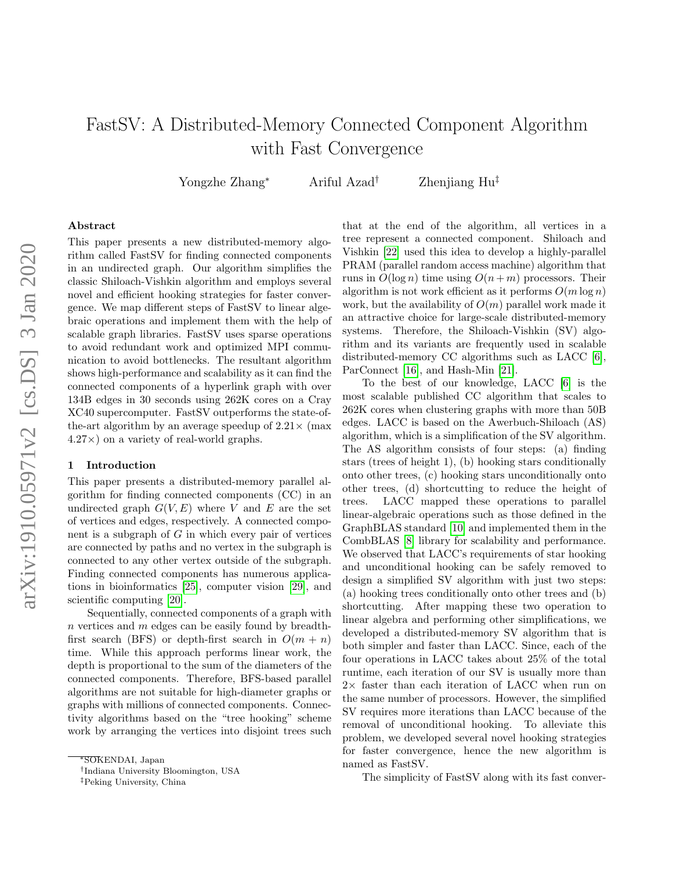# FastSV: A Distributed-Memory Connected Component Algorithm with Fast Convergence

Yongzhe Zhang<sup>∗</sup> Ariful Azad† Zhenjiang Hu‡

#### Abstract

This paper presents a new distributed-memory algorithm called FastSV for finding connected components in an undirected graph. Our algorithm simplifies the classic Shiloach-Vishkin algorithm and employs several novel and efficient hooking strategies for faster convergence. We map different steps of FastSV to linear algebraic operations and implement them with the help of scalable graph libraries. FastSV uses sparse operations to avoid redundant work and optimized MPI communication to avoid bottlenecks. The resultant algorithm shows high-performance and scalability as it can find the connected components of a hyperlink graph with over 134B edges in 30 seconds using 262K cores on a Cray XC40 supercomputer. FastSV outperforms the state-ofthe-art algorithm by an average speedup of  $2.21 \times$  (max)  $4.27\times$ ) on a variety of real-world graphs.

#### 1 Introduction

This paper presents a distributed-memory parallel algorithm for finding connected components (CC) in an undirected graph  $G(V, E)$  where V and E are the set of vertices and edges, respectively. A connected component is a subgraph of  $G$  in which every pair of vertices are connected by paths and no vertex in the subgraph is connected to any other vertex outside of the subgraph. Finding connected components has numerous applications in bioinformatics [\[25\]](#page-10-0), computer vision [\[29\]](#page-10-1), and scientific computing [\[20\]](#page-10-2).

Sequentially, connected components of a graph with n vertices and  $m$  edges can be easily found by breadthfirst search (BFS) or depth-first search in  $O(m + n)$ time. While this approach performs linear work, the depth is proportional to the sum of the diameters of the connected components. Therefore, BFS-based parallel algorithms are not suitable for high-diameter graphs or graphs with millions of connected components. Connectivity algorithms based on the "tree hooking" scheme work by arranging the vertices into disjoint trees such that at the end of the algorithm, all vertices in a tree represent a connected component. Shiloach and Vishkin [\[22\]](#page-10-3) used this idea to develop a highly-parallel PRAM (parallel random access machine) algorithm that runs in  $O(\log n)$  time using  $O(n+m)$  processors. Their algorithm is not work efficient as it performs  $O(m \log n)$ work, but the availability of  $O(m)$  parallel work made it an attractive choice for large-scale distributed-memory systems. Therefore, the Shiloach-Vishkin (SV) algorithm and its variants are frequently used in scalable distributed-memory CC algorithms such as LACC [\[6\]](#page-10-4), ParConnect [\[16\]](#page-10-5), and Hash-Min [\[21\]](#page-10-6).

To the best of our knowledge, LACC [\[6\]](#page-10-4) is the most scalable published CC algorithm that scales to 262K cores when clustering graphs with more than 50B edges. LACC is based on the Awerbuch-Shiloach (AS) algorithm, which is a simplification of the SV algorithm. The AS algorithm consists of four steps: (a) finding stars (trees of height 1), (b) hooking stars conditionally onto other trees, (c) hooking stars unconditionally onto other trees, (d) shortcutting to reduce the height of trees. LACC mapped these operations to parallel linear-algebraic operations such as those defined in the GraphBLAS standard [\[10\]](#page-10-7) and implemented them in the CombBLAS [\[8\]](#page-10-8) library for scalability and performance. We observed that LACC's requirements of star hooking and unconditional hooking can be safely removed to design a simplified SV algorithm with just two steps: (a) hooking trees conditionally onto other trees and (b) shortcutting. After mapping these two operation to linear algebra and performing other simplifications, we developed a distributed-memory SV algorithm that is both simpler and faster than LACC. Since, each of the four operations in LACC takes about 25% of the total runtime, each iteration of our SV is usually more than 2× faster than each iteration of LACC when run on the same number of processors. However, the simplified SV requires more iterations than LACC because of the removal of unconditional hooking. To alleviate this problem, we developed several novel hooking strategies for faster convergence, hence the new algorithm is named as FastSV.

The simplicity of FastSV along with its fast conver-

<sup>∗</sup>SOKENDAI, Japan

<sup>†</sup> Indiana University Bloomington, USA

<sup>‡</sup>Peking University, China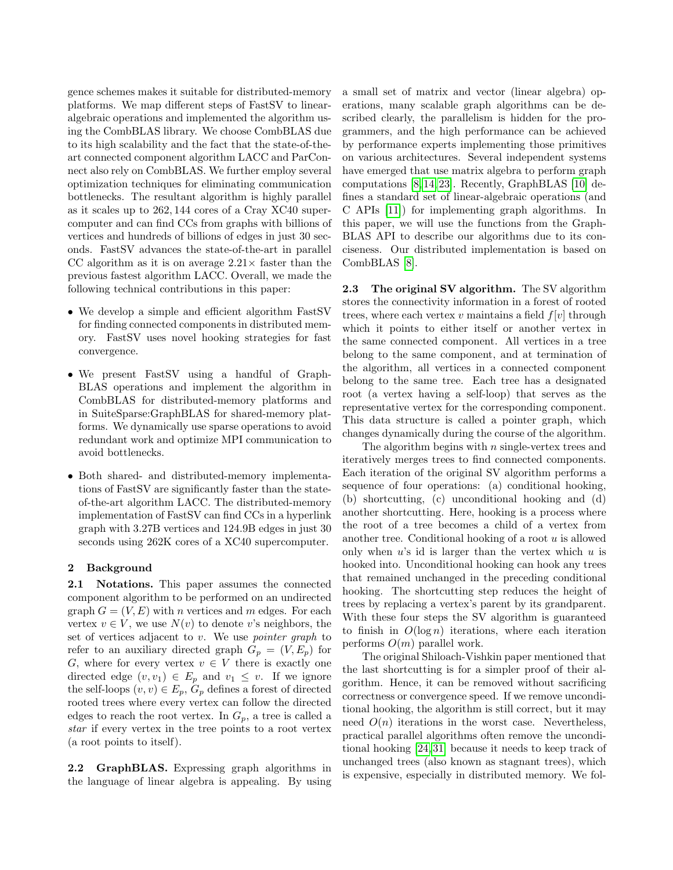gence schemes makes it suitable for distributed-memory platforms. We map different steps of FastSV to linearalgebraic operations and implemented the algorithm using the CombBLAS library. We choose CombBLAS due to its high scalability and the fact that the state-of-theart connected component algorithm LACC and ParConnect also rely on CombBLAS. We further employ several optimization techniques for eliminating communication bottlenecks. The resultant algorithm is highly parallel as it scales up to 262, 144 cores of a Cray XC40 supercomputer and can find CCs from graphs with billions of vertices and hundreds of billions of edges in just 30 seconds. FastSV advances the state-of-the-art in parallel CC algorithm as it is on average  $2.21\times$  faster than the previous fastest algorithm LACC. Overall, we made the following technical contributions in this paper:

- We develop a simple and efficient algorithm FastSV for finding connected components in distributed memory. FastSV uses novel hooking strategies for fast convergence.
- We present FastSV using a handful of Graph-BLAS operations and implement the algorithm in CombBLAS for distributed-memory platforms and in SuiteSparse:GraphBLAS for shared-memory platforms. We dynamically use sparse operations to avoid redundant work and optimize MPI communication to avoid bottlenecks.
- Both shared- and distributed-memory implementations of FastSV are significantly faster than the stateof-the-art algorithm LACC. The distributed-memory implementation of FastSV can find CCs in a hyperlink graph with 3.27B vertices and 124.9B edges in just 30 seconds using 262K cores of a XC40 supercomputer.

#### 2 Background

2.1 Notations. This paper assumes the connected component algorithm to be performed on an undirected graph  $G = (V, E)$  with *n* vertices and *m* edges. For each vertex  $v \in V$ , we use  $N(v)$  to denote v's neighbors, the set of vertices adjacent to  $v$ . We use *pointer graph* to refer to an auxiliary directed graph  $G_p = (V, E_p)$  for G, where for every vertex  $v \in V$  there is exactly one directed edge  $(v, v_1) \in E_p$  and  $v_1 \leq v$ . If we ignore the self-loops  $(v, v) \in E_p$ ,  $G_p$  defines a forest of directed rooted trees where every vertex can follow the directed edges to reach the root vertex. In  $G_p$ , a tree is called a star if every vertex in the tree points to a root vertex (a root points to itself).

2.2 GraphBLAS. Expressing graph algorithms in the language of linear algebra is appealing. By using a small set of matrix and vector (linear algebra) operations, many scalable graph algorithms can be described clearly, the parallelism is hidden for the programmers, and the high performance can be achieved by performance experts implementing those primitives on various architectures. Several independent systems have emerged that use matrix algebra to perform graph computations [\[8,](#page-10-8) [14,](#page-10-9) [23\]](#page-10-10). Recently, GraphBLAS [\[10\]](#page-10-7) defines a standard set of linear-algebraic operations (and C APIs [\[11\]](#page-10-11)) for implementing graph algorithms. In this paper, we will use the functions from the Graph-BLAS API to describe our algorithms due to its conciseness. Our distributed implementation is based on CombBLAS [\[8\]](#page-10-8).

2.3 The original SV algorithm. The SV algorithm stores the connectivity information in a forest of rooted trees, where each vertex v maintains a field  $f[v]$  through which it points to either itself or another vertex in the same connected component. All vertices in a tree belong to the same component, and at termination of the algorithm, all vertices in a connected component belong to the same tree. Each tree has a designated root (a vertex having a self-loop) that serves as the representative vertex for the corresponding component. This data structure is called a pointer graph, which changes dynamically during the course of the algorithm.

The algorithm begins with  $n$  single-vertex trees and iteratively merges trees to find connected components. Each iteration of the original SV algorithm performs a sequence of four operations: (a) conditional hooking, (b) shortcutting, (c) unconditional hooking and (d) another shortcutting. Here, hooking is a process where the root of a tree becomes a child of a vertex from another tree. Conditional hooking of a root  $u$  is allowed only when  $u$ 's id is larger than the vertex which  $u$  is hooked into. Unconditional hooking can hook any trees that remained unchanged in the preceding conditional hooking. The shortcutting step reduces the height of trees by replacing a vertex's parent by its grandparent. With these four steps the SV algorithm is guaranteed to finish in  $O(\log n)$  iterations, where each iteration performs  $O(m)$  parallel work.

The original Shiloach-Vishkin paper mentioned that the last shortcutting is for a simpler proof of their algorithm. Hence, it can be removed without sacrificing correctness or convergence speed. If we remove unconditional hooking, the algorithm is still correct, but it may need  $O(n)$  iterations in the worst case. Nevertheless, practical parallel algorithms often remove the unconditional hooking [\[24,](#page-10-12) [31\]](#page-11-0) because it needs to keep track of unchanged trees (also known as stagnant trees), which is expensive, especially in distributed memory. We fol-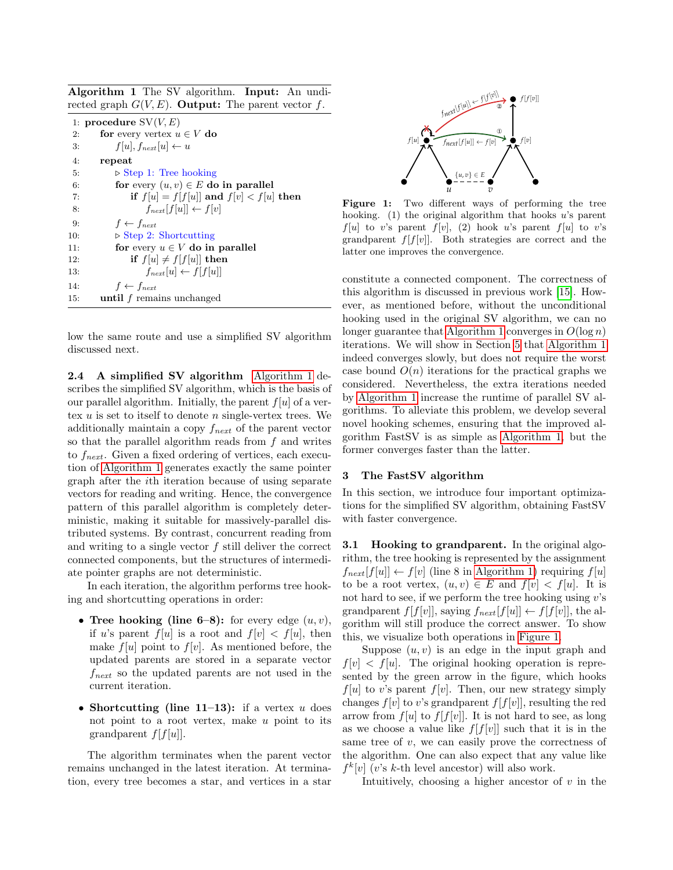<span id="page-2-0"></span>Algorithm 1 The SV algorithm. Input: An undirected graph  $G(V, E)$ . **Output:** The parent vector f.

|     | 1: procedure $SV(V, E)$                    |  |  |  |  |  |
|-----|--------------------------------------------|--|--|--|--|--|
| 2:  | for every vertex $u \in V$ do              |  |  |  |  |  |
| 3:  | $f[u], f_{next}[u] \leftarrow u$           |  |  |  |  |  |
| 4:  | repeat                                     |  |  |  |  |  |
| 5:  | $\triangleright$ Step 1: Tree hooking      |  |  |  |  |  |
| 6:  | for every $(u, v) \in E$ do in parallel    |  |  |  |  |  |
| 7:  | if $f[u] = f[f[u]]$ and $f[v] < f[u]$ then |  |  |  |  |  |
| 8:  | $f_{next}[f[u]] \leftarrow f[v]$           |  |  |  |  |  |
| 9:  | $f \leftarrow f_{next}$                    |  |  |  |  |  |
| 10: | $\triangleright$ Step 2: Shortcutting      |  |  |  |  |  |
| 11: | for every $u \in V$ do in parallel         |  |  |  |  |  |
| 12: | if $f[u] \neq f[f[u]]$ then                |  |  |  |  |  |
| 13. | $f_{\text{next}}[u] \leftarrow f[f[u]]$    |  |  |  |  |  |
| 14: | $f \leftarrow f_{next}$                    |  |  |  |  |  |
| 15: | <b>until</b> f remains unchanged           |  |  |  |  |  |

low the same route and use a simplified SV algorithm discussed next.

2.4 A simplified SV algorithm [Algorithm 1](#page-2-0) describes the simplified SV algorithm, which is the basis of our parallel algorithm. Initially, the parent  $f[u]$  of a vertex  $u$  is set to itself to denote  $n$  single-vertex trees. We additionally maintain a copy  $f_{\text{next}}$  of the parent vector so that the parallel algorithm reads from  $f$  and writes to  $f_{\text{next}}$ . Given a fixed ordering of vertices, each execution of [Algorithm 1](#page-2-0) generates exactly the same pointer graph after the ith iteration because of using separate vectors for reading and writing. Hence, the convergence pattern of this parallel algorithm is completely deterministic, making it suitable for massively-parallel distributed systems. By contrast, concurrent reading from and writing to a single vector f still deliver the correct connected components, but the structures of intermediate pointer graphs are not deterministic.

In each iteration, the algorithm performs tree hooking and shortcutting operations in order:

- Tree hooking (line 6–8): for every edge  $(u, v)$ , if u's parent  $f[u]$  is a root and  $f[v] < f[u]$ , then make  $f[u]$  point to  $f[v]$ . As mentioned before, the updated parents are stored in a separate vector  $f_{\text{next}}$  so the updated parents are not used in the current iteration.
- Shortcutting (line  $11-13$ ): if a vertex u does not point to a root vertex, make  $u$  point to its grandparent  $f[f[u]]$ .

The algorithm terminates when the parent vector remains unchanged in the latest iteration. At termination, every tree becomes a star, and vertices in a star

<span id="page-2-1"></span>

Figure 1: Two different ways of performing the tree hooking. (1) the original algorithm that hooks  $u$ 's parent  $f[u]$  to v's parent  $f[v]$ , (2) hook u's parent  $f[u]$  to v's grandparent  $f[f[v]]$ . Both strategies are correct and the latter one improves the convergence.

constitute a connected component. The correctness of this algorithm is discussed in previous work [\[15\]](#page-10-13). However, as mentioned before, without the unconditional hooking used in the original SV algorithm, we can no longer guarantee that [Algorithm 1](#page-2-0) converges in  $O(\log n)$ iterations. We will show in Section [5](#page-6-0) that [Algorithm 1](#page-2-0) indeed converges slowly, but does not require the worst case bound  $O(n)$  iterations for the practical graphs we considered. Nevertheless, the extra iterations needed by [Algorithm 1](#page-2-0) increase the runtime of parallel SV algorithms. To alleviate this problem, we develop several novel hooking schemes, ensuring that the improved algorithm FastSV is as simple as [Algorithm 1,](#page-2-0) but the former converges faster than the latter.

#### 3 The FastSV algorithm

In this section, we introduce four important optimizations for the simplified SV algorithm, obtaining FastSV with faster convergence.

**3.1 Hooking to grandparent.** In the original algorithm, the tree hooking is represented by the assignment  $f_{\text{next}}[f[u]] \leftarrow f[v]$  (line 8 in [Algorithm 1\)](#page-2-0) requiring  $f[u]$ to be a root vertex,  $(u, v) \in E$  and  $f[v] < f[u]$ . It is not hard to see, if we perform the tree hooking using  $v$ 's grandparent  $f[f[v]]$ , saying  $f_{\text{next}}[f[u]] \leftarrow f[f[v]]$ , the algorithm will still produce the correct answer. To show this, we visualize both operations in [Figure 1.](#page-2-1)

Suppose  $(u, v)$  is an edge in the input graph and  $f[v] \leq f[u]$ . The original hooking operation is represented by the green arrow in the figure, which hooks  $f[u]$  to v's parent  $f[v]$ . Then, our new strategy simply changes  $f[v]$  to v's grandparent  $f[f[v]]$ , resulting the red arrow from  $f[u]$  to  $f[f[v]]$ . It is not hard to see, as long as we choose a value like  $f[f[v]]$  such that it is in the same tree of  $v$ , we can easily prove the correctness of the algorithm. One can also expect that any value like  $f^k[v]$  (v's k-th level ancestor) will also work.

Intuitively, choosing a higher ancestor of  $v$  in the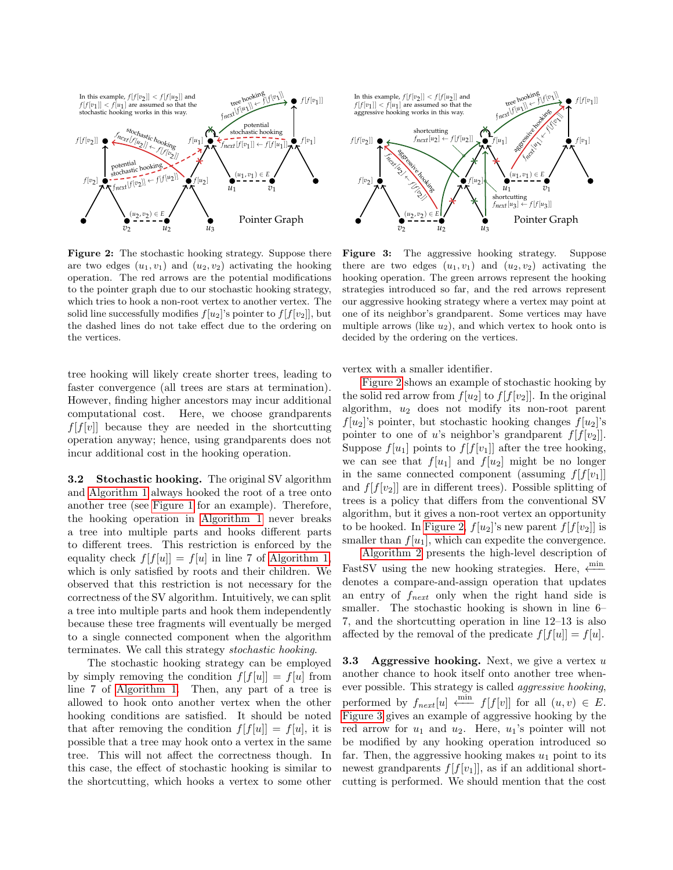<span id="page-3-0"></span>

Figure 2: The stochastic hooking strategy. Suppose there are two edges  $(u_1, v_1)$  and  $(u_2, v_2)$  activating the hooking operation. The red arrows are the potential modifications to the pointer graph due to our stochastic hooking strategy, which tries to hook a non-root vertex to another vertex. The solid line successfully modifies  $f[u_2]$ 's pointer to  $f[f[v_2]]$ , but the dashed lines do not take effect due to the ordering on the vertices.

tree hooking will likely create shorter trees, leading to faster convergence (all trees are stars at termination). However, finding higher ancestors may incur additional computational cost. Here, we choose grandparents  $f[f[v]]$  because they are needed in the shortcutting operation anyway; hence, using grandparents does not incur additional cost in the hooking operation.

3.2 Stochastic hooking. The original SV algorithm and [Algorithm 1](#page-2-0) always hooked the root of a tree onto another tree (see [Figure 1](#page-2-1) for an example). Therefore, the hooking operation in [Algorithm 1](#page-2-0) never breaks a tree into multiple parts and hooks different parts to different trees. This restriction is enforced by the equality check  $f[f[u]] = f[u]$  in line 7 of [Algorithm 1,](#page-2-0) which is only satisfied by roots and their children. We observed that this restriction is not necessary for the correctness of the SV algorithm. Intuitively, we can split a tree into multiple parts and hook them independently because these tree fragments will eventually be merged to a single connected component when the algorithm terminates. We call this strategy stochastic hooking.

The stochastic hooking strategy can be employed by simply removing the condition  $f[f[u]] = f[u]$  from line 7 of [Algorithm 1.](#page-2-0) Then, any part of a tree is allowed to hook onto another vertex when the other hooking conditions are satisfied. It should be noted that after removing the condition  $f[f[u]] = f[u]$ , it is possible that a tree may hook onto a vertex in the same tree. This will not affect the correctness though. In this case, the effect of stochastic hooking is similar to the shortcutting, which hooks a vertex to some other

<span id="page-3-1"></span>

Figure 3: The aggressive hooking strategy. Suppose there are two edges  $(u_1, v_1)$  and  $(u_2, v_2)$  activating the hooking operation. The green arrows represent the hooking strategies introduced so far, and the red arrows represent our aggressive hooking strategy where a vertex may point at one of its neighbor's grandparent. Some vertices may have multiple arrows (like  $u_2$ ), and which vertex to hook onto is decided by the ordering on the vertices.

vertex with a smaller identifier.

[Figure 2](#page-3-0) shows an example of stochastic hooking by the solid red arrow from  $f[u_2]$  to  $f[f[v_2]]$ . In the original algorithm,  $u_2$  does not modify its non-root parent  $f[u_2]$ 's pointer, but stochastic hooking changes  $f[u_2]$ 's pointer to one of u's neighbor's grandparent  $f[f[v_2]]$ . Suppose  $f[u_1]$  points to  $f[f[v_1]]$  after the tree hooking, we can see that  $f[u_1]$  and  $f[u_2]$  might be no longer in the same connected component (assuming  $f[f[v_1]]$ and  $f[f[v_2]]$  are in different trees). Possible splitting of trees is a policy that differs from the conventional SV algorithm, but it gives a non-root vertex an opportunity to be hooked. In [Figure 2,](#page-3-0)  $f[u_2]$ 's new parent  $f[f[v_2]]$  is smaller than  $f[u_1]$ , which can expedite the convergence.

[Algorithm 2](#page-4-0) presents the high-level description of FastSV using the new hooking strategies. Here,  $\xleftarrow{\min}$ denotes a compare-and-assign operation that updates an entry of  $f_{\text{next}}$  only when the right hand side is smaller. The stochastic hooking is shown in line 6– 7, and the shortcutting operation in line 12–13 is also affected by the removal of the predicate  $f[f[u]] = f[u]$ .

**3.3** Aggressive hooking. Next, we give a vertex u another chance to hook itself onto another tree whenever possible. This strategy is called aggressive hooking, performed by  $f_{next}[u] \stackrel{\text{min}}{\longleftarrow} f[f[v]]$  for all  $(u, v) \in E$ . [Figure 3](#page-3-1) gives an example of aggressive hooking by the red arrow for  $u_1$  and  $u_2$ . Here,  $u_1$ 's pointer will not be modified by any hooking operation introduced so far. Then, the aggressive hooking makes  $u_1$  point to its newest grandparents  $f[f[v_1]]$ , as if an additional shortcutting is performed. We should mention that the cost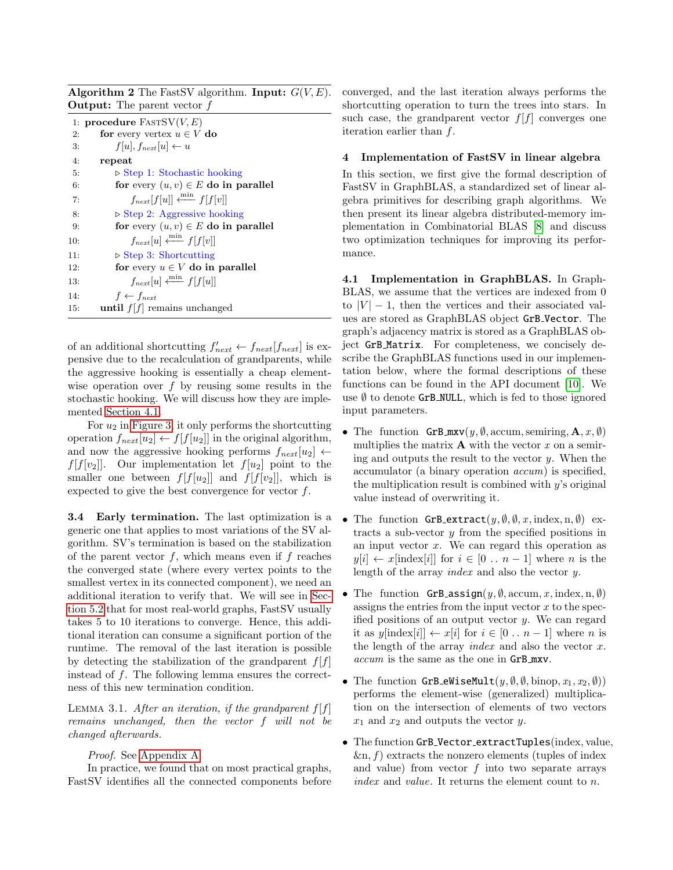<span id="page-4-0"></span>**Algorithm 2** The FastSV algorithm. **Input:**  $G(V, E)$ . Output: The parent vector f

|     | 1: procedure $FASTSV(V,E)$                              |
|-----|---------------------------------------------------------|
| 2:  | for every vertex $u \in V$ do                           |
| 3:  | $f[u], f_{next}[u] \leftarrow u$                        |
| 4:  | repeat                                                  |
| 5:  | $\triangleright$ Step 1: Stochastic hooking             |
| 6:  | for every $(u, v) \in E$ do in parallel                 |
| 7:  | $f_{\text{next}}[f[u]] \xleftarrow{\text{min}} f[f[v]]$ |
| 8:  | $\triangleright$ Step 2: Aggressive hooking             |
| 9:  | for every $(u, v) \in E$ do in parallel                 |
| 10: | $f_{\text{next}}[u] \xleftarrow{\min} f[f[v]]$          |
| 11: | $\triangleright$ Step 3: Shortcutting                   |
| 12: | for every $u \in V$ do in parallel                      |
| 13. | $f_{\text{next}}[u] \xleftarrow{\min} f[f[u]]$          |
| 14: | $f \leftarrow f_{next}$                                 |
| 15. | until $f[f]$ remains unchanged                          |

of an additional shortcutting  $f'_{next} \leftarrow f_{next}[f_{next}]$  is expensive due to the recalculation of grandparents, while the aggressive hooking is essentially a cheap elementwise operation over  $f$  by reusing some results in the stochastic hooking. We will discuss how they are implemented [Section 4.1.](#page-4-1)

For  $u_2$  in [Figure 3,](#page-3-1) it only performs the shortcutting operation  $f_{\text{next}}[u_2] \leftarrow f[f[u_2]]$  in the original algorithm, and now the aggressive hooking performs  $f_{\text{next}}[u_2] \leftarrow$  $f[f[v_2]]$ . Our implementation let  $f[u_2]$  point to the smaller one between  $f[f[u_2]]$  and  $f[f[v_2]]$ , which is expected to give the best convergence for vector  $f$ .

<span id="page-4-2"></span>**3.4 Early termination.** The last optimization is a generic one that applies to most variations of the SV algorithm. SV's termination is based on the stabilization of the parent vector  $f$ , which means even if  $f$  reaches the converged state (where every vertex points to the smallest vertex in its connected component), we need an additional iteration to verify that. We will see in [Sec](#page-6-1)[tion 5.2](#page-6-1) that for most real-world graphs, FastSV usually takes 5 to 10 iterations to converge. Hence, this additional iteration can consume a significant portion of the runtime. The removal of the last iteration is possible by detecting the stabilization of the grandparent  $f[f]$ instead of f. The following lemma ensures the correctness of this new termination condition.

LEMMA 3.1. After an iteration, if the grandparent  $f[f]$ remains unchanged, then the vector f will not be changed afterwards.

Proof. See [Appendix A.](#page-11-1)

In practice, we found that on most practical graphs, FastSV identifies all the connected components before

converged, and the last iteration always performs the shortcutting operation to turn the trees into stars. In such case, the grandparent vector  $f[f]$  converges one iteration earlier than f.

# 4 Implementation of FastSV in linear algebra

In this section, we first give the formal description of FastSV in GraphBLAS, a standardized set of linear algebra primitives for describing graph algorithms. We then present its linear algebra distributed-memory implementation in Combinatorial BLAS [\[8\]](#page-10-8) and discuss two optimization techniques for improving its performance.

<span id="page-4-1"></span>4.1 Implementation in GraphBLAS. In Graph-BLAS, we assume that the vertices are indexed from 0 to  $|V| - 1$ , then the vertices and their associated values are stored as GraphBLAS object GrB Vector. The graph's adjacency matrix is stored as a GraphBLAS object GrB Matrix. For completeness, we concisely describe the GraphBLAS functions used in our implementation below, where the formal descriptions of these functions can be found in the API document [\[10\]](#page-10-7). We use  $\emptyset$  to denote GrB\_NULL, which is fed to those ignored input parameters.

- The function  $\mathsf{GrB}.\text{mxv}(y, \emptyset, \text{accum}, \text{semiring}, \mathbf{A}, x, \emptyset)$ multiplies the matrix  $\bf{A}$  with the vector x on a semiring and outputs the result to the vector  $y$ . When the accumulator (a binary operation accum) is specified, the multiplication result is combined with  $y$ 's original value instead of overwriting it.
- The function GrB\_extract( $y, \emptyset, \emptyset, x$ , index, n,  $\emptyset$ ) extracts a sub-vector  $y$  from the specified positions in an input vector  $x$ . We can regard this operation as  $y[i] \leftarrow x[\text{index}[i]]$  for  $i \in [0 \dots n-1]$  where n is the length of the array *index* and also the vector  $y$ .
- The function GrB assign $(y, \emptyset, \text{accum}, x, \text{index}, n, \emptyset)$ assigns the entries from the input vector  $x$  to the specified positions of an output vector  $y$ . We can regard it as  $y[\text{index}[i]] \leftarrow x[i]$  for  $i \in [0 \dots n-1]$  where n is the length of the array *index* and also the vector  $x$ . accum is the same as the one in GrB\_mxv.
- <span id="page-4-3"></span>• The function GrB\_eWiseMult $(y, \emptyset, \emptyset, \text{binop}, x_1, x_2, \emptyset)$ performs the element-wise (generalized) multiplication on the intersection of elements of two vectors  $x_1$  and  $x_2$  and outputs the vector y.
- The function GrB Vector extractTuples(index, value,  $\&$ n, f) extracts the nonzero elements (tuples of index and value) from vector  $f$  into two separate arrays index and value. It returns the element count to n.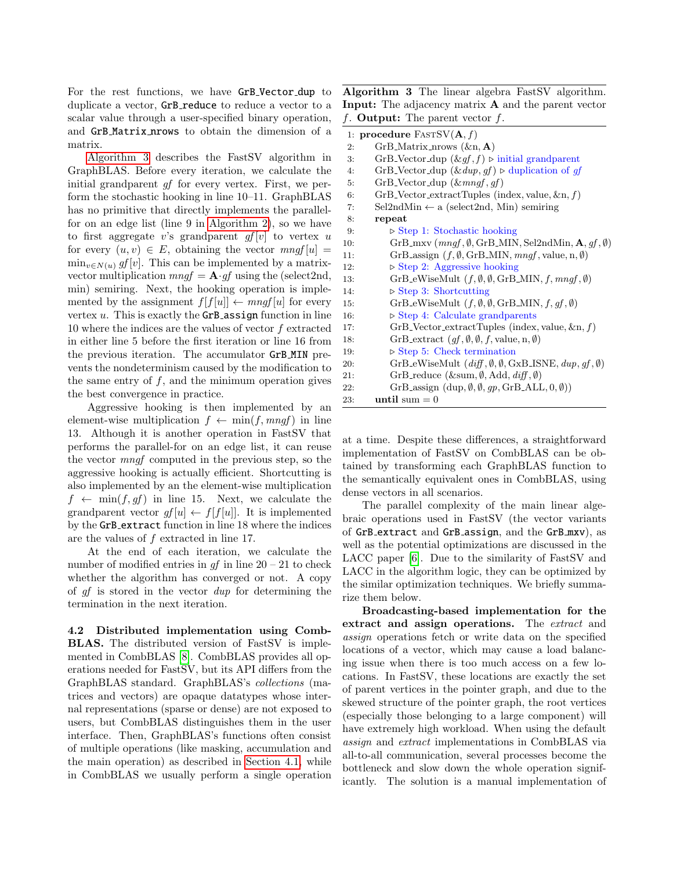For the rest functions, we have GrB Vector dup to duplicate a vector, GrB\_reduce to reduce a vector to a scalar value through a user-specified binary operation, and GrB Matrix nrows to obtain the dimension of a matrix.

[Algorithm 3](#page-5-0) describes the FastSV algorithm in GraphBLAS. Before every iteration, we calculate the initial grandparent *gf* for every vertex. First, we perform the stochastic hooking in line 10–11. GraphBLAS has no primitive that directly implements the parallelfor on an edge list (line 9 in [Algorithm 2\)](#page-4-0), so we have to first aggregate v's grandparent  $gf[v]$  to vertex u for every  $(u, v) \in E$ , obtaining the vector  $mngf[u] =$  $\min_{v \in N(u)} gf[v]$ . This can be implemented by a matrixvector multiplication  $mngf = \mathbf{A} \cdot gf$  using the (select2nd, min) semiring. Next, the hooking operation is implemented by the assignment  $f[f[u]] \leftarrow mngf[u]$  for every vertex  $u$ . This is exactly the **GrB** assign function in line 10 where the indices are the values of vector f extracted in either line 5 before the first iteration or line 16 from the previous iteration. The accumulator GrB MIN prevents the nondeterminism caused by the modification to the same entry of  $f$ , and the minimum operation gives the best convergence in practice.

Aggressive hooking is then implemented by an element-wise multiplication  $f \leftarrow \min(f, mnaf)$  in line 13. Although it is another operation in FastSV that performs the parallel-for on an edge list, it can reuse the vector mngf computed in the previous step, so the aggressive hooking is actually efficient. Shortcutting is also implemented by an the element-wise multiplication  $f \leftarrow \min(f, gf)$  in line 15. Next, we calculate the grandparent vector  $gf[u] \leftarrow f[f[u]]$ . It is implemented by the GrB extract function in line 18 where the indices are the values of f extracted in line 17.

At the end of each iteration, we calculate the number of modified entries in  $qf$  in line  $20 - 21$  to check whether the algorithm has converged or not. A copy of gf is stored in the vector dup for determining the termination in the next iteration.

<span id="page-5-1"></span>4.2 Distributed implementation using Comb-BLAS. The distributed version of FastSV is implemented in CombBLAS [\[8\]](#page-10-8). CombBLAS provides all operations needed for FastSV, but its API differs from the GraphBLAS standard. GraphBLAS's collections (matrices and vectors) are opaque datatypes whose internal representations (sparse or dense) are not exposed to users, but CombBLAS distinguishes them in the user interface. Then, GraphBLAS's functions often consist of multiple operations (like masking, accumulation and the main operation) as described in [Section 4.1,](#page-4-1) while in CombBLAS we usually perform a single operation

<span id="page-5-0"></span>Algorithm 3 The linear algebra FastSV algorithm. Input: The adjacency matrix A and the parent vector f. Output: The parent vector  $f$ .

|     | 1: procedure $\text{FASTSV}(\mathbf{A}, f)$                                                  |  |  |  |
|-----|----------------------------------------------------------------------------------------------|--|--|--|
| 2:  | $GrB_Matrix_nrows (kn, A)$                                                                   |  |  |  |
| 3:  | GrB_Vector_dup $(\&gf, f) \triangleright$ initial grandparent                                |  |  |  |
| 4:  | GrB_Vector_dup $(\& \text{dup}, \text{gf}) \triangleright \text{duplication of } \text{gf}$  |  |  |  |
| 5:  | $GrB\$ -Vector-dup $(\&mag, af)$                                                             |  |  |  |
| 6:  | GrB_Vector_extractTuples (index, value, $\&n, f$ )                                           |  |  |  |
| 7:  | $Sel2ndMin \leftarrow a$ (select2nd, Min) semiring                                           |  |  |  |
| 8:  | repeat                                                                                       |  |  |  |
| 9:  | $\triangleright$ Step 1: Stochastic hooking                                                  |  |  |  |
| 10: | GrB_mxv ( $mngf, \emptyset$ , GrB_MIN, Sel2ndMin, $\mathbf{A}, gf, \emptyset$ )              |  |  |  |
| 11: | GrB_assign $(f, \emptyset, \text{GrB}\_\text{MIN}, \text{mngf}, \text{value}, n, \emptyset)$ |  |  |  |
| 12: | $\triangleright$ Step 2: Aggressive hooking                                                  |  |  |  |
| 13: | GrB_eWiseMult $(f, \emptyset, \emptyset, \text{GrB}\_\text{MIN}, f, \text{mngf}, \emptyset)$ |  |  |  |
| 14: | $\triangleright$ Step 3: Shortcutting                                                        |  |  |  |
| 15: | GrB_eWiseMult $(f, \emptyset, \emptyset, \text{GrB}\_\text{MIN}, f, gf, \emptyset)$          |  |  |  |
| 16: | $\triangleright$ Step 4: Calculate grandparents                                              |  |  |  |
| 17: | $GrB\_\text{Vector-extractTuples}$ (index, value, $\&n, f$ )                                 |  |  |  |
| 18: | GrB_extract $(gf, \emptyset, \emptyset, f$ , value, n, $\emptyset$ )                         |  |  |  |
| 19: | $\triangleright$ Step 5: Check termination                                                   |  |  |  |
| 20: | GrB_eWiseMult $(df, \emptyset, \emptyset, GxB$ _ISNE, $dup, gf, \emptyset)$                  |  |  |  |
| 21: | GrB_reduce $(\∑, \emptyset, Add, diff, \emptyset)$                                           |  |  |  |
| 22: | GrB_assign $(\text{dup}, \emptyset, \emptyset, gp, \text{GrB}\_\text{ALL}, 0, \emptyset)$    |  |  |  |
| 23. | until sum $= 0$                                                                              |  |  |  |

at a time. Despite these differences, a straightforward implementation of FastSV on CombBLAS can be obtained by transforming each GraphBLAS function to the semantically equivalent ones in CombBLAS, using dense vectors in all scenarios.

The parallel complexity of the main linear algebraic operations used in FastSV (the vector variants of GrB extract and GrB assign, and the GrB mxv), as well as the potential optimizations are discussed in the LACC paper [\[6\]](#page-10-4). Due to the similarity of FastSV and LACC in the algorithm logic, they can be optimized by the similar optimization techniques. We briefly summarize them below.

Broadcasting-based implementation for the extract and assign operations. The extract and assign operations fetch or write data on the specified locations of a vector, which may cause a load balancing issue when there is too much access on a few locations. In FastSV, these locations are exactly the set of parent vertices in the pointer graph, and due to the skewed structure of the pointer graph, the root vertices (especially those belonging to a large component) will have extremely high workload. When using the default assign and extract implementations in CombBLAS via all-to-all communication, several processes become the bottleneck and slow down the whole operation significantly. The solution is a manual implementation of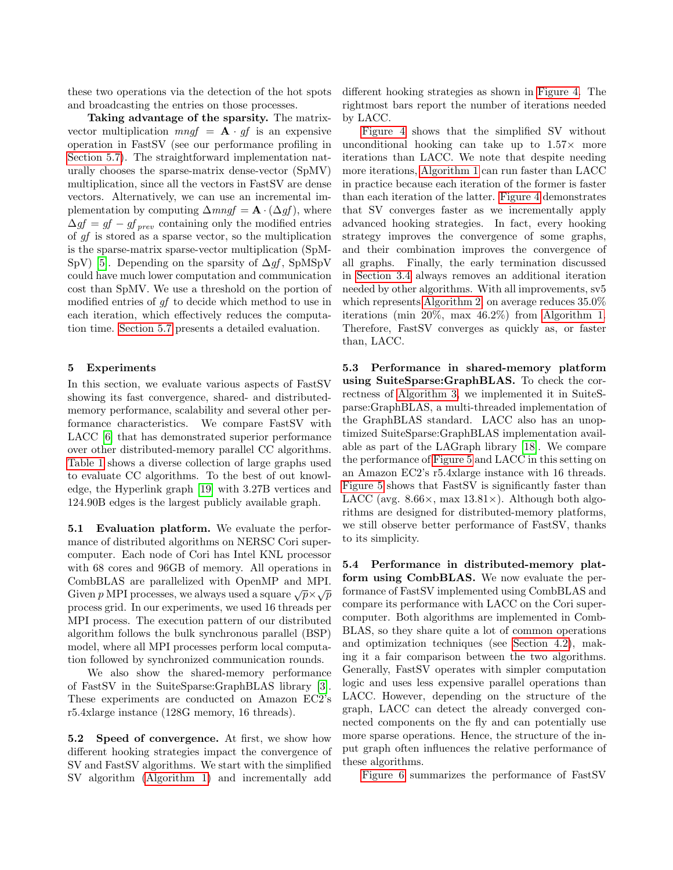these two operations via the detection of the hot spots and broadcasting the entries on those processes.

Taking advantage of the sparsity. The matrixvector multiplication  $mngf = \mathbf{A} \cdot gf$  is an expensive operation in FastSV (see our performance profiling in [Section 5.7\)](#page-8-0). The straightforward implementation naturally chooses the sparse-matrix dense-vector (SpMV) multiplication, since all the vectors in FastSV are dense vectors. Alternatively, we can use an incremental implementation by computing  $\Delta m n g f = \mathbf{A} \cdot (\Delta g f)$ , where  $\Delta gf = gf - gf_{prev}$  containing only the modified entries of gf is stored as a sparse vector, so the multiplication is the sparse-matrix sparse-vector multiplication (SpM-SpV) [\[5\]](#page-10-14). Depending on the sparsity of  $\Delta gf$ , SpMSpV could have much lower computation and communication cost than SpMV. We use a threshold on the portion of modified entries of gf to decide which method to use in each iteration, which effectively reduces the computation time. [Section 5.7](#page-8-0) presents a detailed evaluation.

# <span id="page-6-0"></span>5 Experiments

In this section, we evaluate various aspects of FastSV showing its fast convergence, shared- and distributedmemory performance, scalability and several other performance characteristics. We compare FastSV with LACC [\[6\]](#page-10-4) that has demonstrated superior performance over other distributed-memory parallel CC algorithms. [Table 1](#page-7-0) shows a diverse collection of large graphs used to evaluate CC algorithms. To the best of out knowledge, the Hyperlink graph [\[19\]](#page-10-15) with 3.27B vertices and 124.90B edges is the largest publicly available graph.

5.1 Evaluation platform. We evaluate the performance of distributed algorithms on NERSC Cori supercomputer. Each node of Cori has Intel KNL processor with 68 cores and 96GB of memory. All operations in CombBLAS are parallelized with OpenMP and MPI. Given  $p$  MPI processes, we always used a square  $\sqrt{p} \times \sqrt{p}$ process grid. In our experiments, we used 16 threads per MPI process. The execution pattern of our distributed algorithm follows the bulk synchronous parallel (BSP) model, where all MPI processes perform local computation followed by synchronized communication rounds.

We also show the shared-memory performance of FastSV in the SuiteSparse:GraphBLAS library [\[3\]](#page-10-16). These experiments are conducted on Amazon EC2's r5.4xlarge instance (128G memory, 16 threads).

<span id="page-6-1"></span>5.2 Speed of convergence. At first, we show how different hooking strategies impact the convergence of SV and FastSV algorithms. We start with the simplified SV algorithm [\(Algorithm 1\)](#page-2-0) and incrementally add

different hooking strategies as shown in [Figure 4.](#page-7-1) The rightmost bars report the number of iterations needed by LACC.

[Figure 4](#page-7-1) shows that the simplified SV without unconditional hooking can take up to  $1.57\times$  more iterations than LACC. We note that despite needing more iterations, [Algorithm 1](#page-2-0) can run faster than LACC in practice because each iteration of the former is faster than each iteration of the latter. [Figure 4](#page-7-1) demonstrates that SV converges faster as we incrementally apply advanced hooking strategies. In fact, every hooking strategy improves the convergence of some graphs, and their combination improves the convergence of all graphs. Finally, the early termination discussed in [Section 3.4](#page-4-2) always removes an additional iteration needed by other algorithms. With all improvements, sv5 which represents [Algorithm 2,](#page-4-0) on average reduces 35.0% iterations (min 20%, max 46.2%) from [Algorithm 1.](#page-2-0) Therefore, FastSV converges as quickly as, or faster than, LACC.

5.3 Performance in shared-memory platform using SuiteSparse:GraphBLAS. To check the correctness of [Algorithm 3,](#page-5-0) we implemented it in SuiteSparse:GraphBLAS, a multi-threaded implementation of the GraphBLAS standard. LACC also has an unoptimized SuiteSparse:GraphBLAS implementation available as part of the LAGraph library [\[18\]](#page-10-17). We compare the performance of [Figure 5](#page-7-2) and LACC in this setting on an Amazon EC2's r5.4xlarge instance with 16 threads. [Figure 5](#page-7-2) shows that FastSV is significantly faster than LACC (avg.  $8.66 \times$ , max  $13.81 \times$ ). Although both algorithms are designed for distributed-memory platforms, we still observe better performance of FastSV, thanks to its simplicity.

5.4 Performance in distributed-memory platform using CombBLAS. We now evaluate the performance of FastSV implemented using CombBLAS and compare its performance with LACC on the Cori supercomputer. Both algorithms are implemented in Comb-BLAS, so they share quite a lot of common operations and optimization techniques (see [Section 4.2\)](#page-5-1), making it a fair comparison between the two algorithms. Generally, FastSV operates with simpler computation logic and uses less expensive parallel operations than LACC. However, depending on the structure of the graph, LACC can detect the already converged connected components on the fly and can potentially use more sparse operations. Hence, the structure of the input graph often influences the relative performance of these algorithms.

[Figure 6](#page-8-1) summarizes the performance of FastSV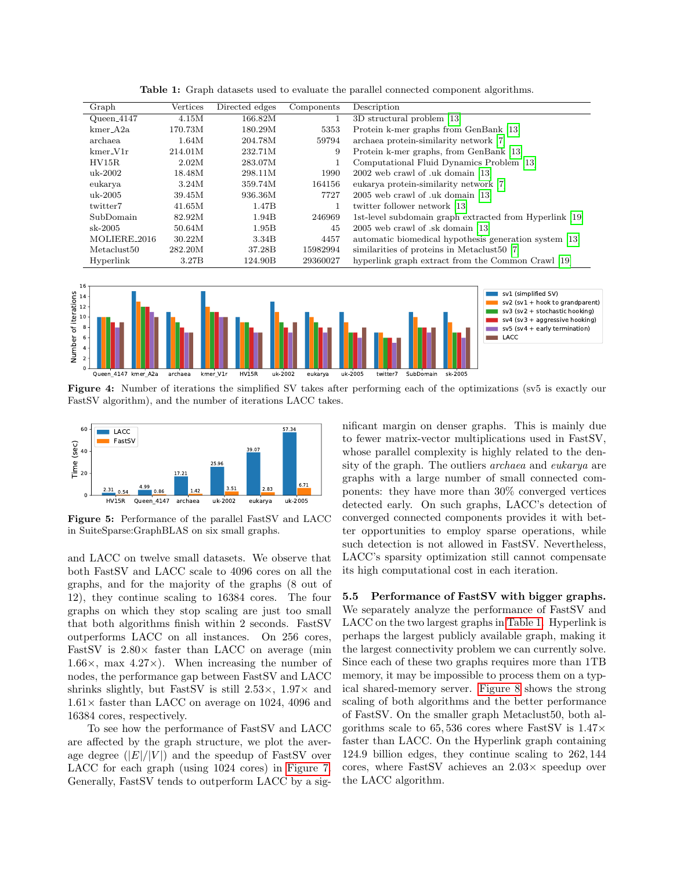<span id="page-7-0"></span>

| Graph                   | Vertices | Directed edges | Components | Description                                             |
|-------------------------|----------|----------------|------------|---------------------------------------------------------|
| $Queen_4147$            | 4.15M    | 166.82M        |            | 3D structural problem [13]                              |
| $kmer_A 2a$             | 170.73M  | 180.29M        | 5353       | Protein k-mer graphs from GenBank [13]                  |
| archaea                 | 1.64M    | 204.78M        | 59794      | archaea protein-similarity network [7]                  |
| $kmer_V1r$              | 214.01M  | 232.71M        | 9          | Protein k-mer graphs, from GenBank [13]                 |
| HV15R                   | 2.02M    | 283.07M        |            | Computational Fluid Dynamics Problem [13]               |
| uk-2002                 | 18.48M   | 298.11M        | 1990       | 2002 web crawl of .uk domain [13]                       |
| eukarya                 | 3.24M    | 359.74M        | 164156     | eukarya protein-similarity network [7]                  |
| $uk-2005$               | 39.45M   | 936.36M        | 7727       | 2005 web crawl of .uk domain [13]                       |
| twitter7                | 41.65M   | 1.47B          |            | twitter follower network [13]                           |
| SubDomain               | 82.92M   | 1.94B          | 246969     | 1st-level subdomain graph extracted from Hyperlink [19] |
| $sk-2005$               | 50.64M   | 1.95B          | 45         | 2005 web crawl of .sk domain [13]                       |
| MOLIERE <sub>2016</sub> | 30.22M   | 3.34B          | 4457       | automatic biomedical hypothesis generation system [13]  |
| Metaclust <sub>50</sub> | 282.20M  | 37.28B         | 15982994   | similarities of proteins in Metaclust50 [7]             |
| Hyperlink               | 3.27B    | 124.90B        | 29360027   | hyperlink graph extract from the Common Crawl [19]      |

Table 1: Graph datasets used to evaluate the parallel connected component algorithms.

<span id="page-7-1"></span>

Figure 4: Number of iterations the simplified SV takes after performing each of the optimizations (sv5 is exactly our FastSV algorithm), and the number of iterations LACC takes.

<span id="page-7-2"></span>

Figure 5: Performance of the parallel FastSV and LACC in SuiteSparse:GraphBLAS on six small graphs.

and LACC on twelve small datasets. We observe that both FastSV and LACC scale to 4096 cores on all the graphs, and for the majority of the graphs (8 out of 12), they continue scaling to 16384 cores. The four graphs on which they stop scaling are just too small that both algorithms finish within 2 seconds. FastSV outperforms LACC on all instances. On 256 cores, FastSV is  $2.80\times$  faster than LACC on average (min 1.66 $\times$ , max 4.27 $\times$ ). When increasing the number of nodes, the performance gap between FastSV and LACC shrinks slightly, but FastSV is still  $2.53\times$ ,  $1.97\times$  and  $1.61\times$  faster than LACC on average on 1024, 4096 and 16384 cores, respectively.

To see how the performance of FastSV and LACC are affected by the graph structure, we plot the average degree  $(|E|/|V|)$  and the speedup of FastSV over LACC for each graph (using 1024 cores) in [Figure 7.](#page-8-2) Generally, FastSV tends to outperform LACC by a sig-

nificant margin on denser graphs. This is mainly due to fewer matrix-vector multiplications used in FastSV, whose parallel complexity is highly related to the density of the graph. The outliers archaea and eukarya are graphs with a large number of small connected components: they have more than 30% converged vertices detected early. On such graphs, LACC's detection of converged connected components provides it with better opportunities to employ sparse operations, while such detection is not allowed in FastSV. Nevertheless, LACC's sparsity optimization still cannot compensate its high computational cost in each iteration.

5.5 Performance of FastSV with bigger graphs. We separately analyze the performance of FastSV and LACC on the two largest graphs in [Table 1.](#page-7-0) Hyperlink is perhaps the largest publicly available graph, making it the largest connectivity problem we can currently solve. Since each of these two graphs requires more than 1TB memory, it may be impossible to process them on a typical shared-memory server. [Figure 8](#page-8-3) shows the strong scaling of both algorithms and the better performance of FastSV. On the smaller graph Metaclust50, both algorithms scale to  $65,536$  cores where FastSV is  $1.47\times$ faster than LACC. On the Hyperlink graph containing 124.9 billion edges, they continue scaling to 262, 144 cores, where FastSV achieves an  $2.03\times$  speedup over the LACC algorithm.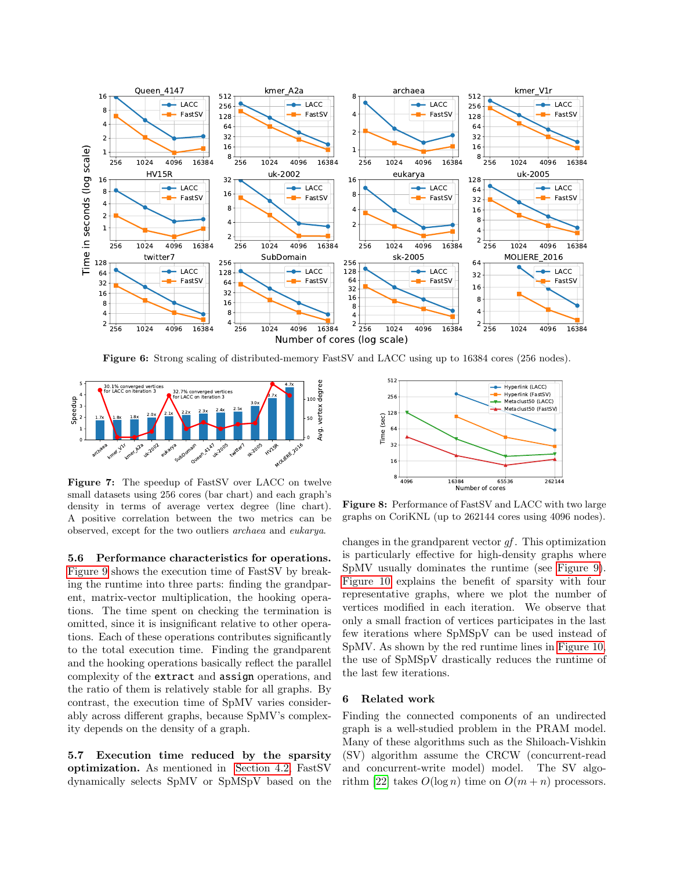<span id="page-8-1"></span>

Figure 6: Strong scaling of distributed-memory FastSV and LACC using up to 16384 cores (256 nodes).

<span id="page-8-2"></span>

Figure 7: The speedup of FastSV over LACC on twelve small datasets using 256 cores (bar chart) and each graph's density in terms of average vertex degree (line chart). A positive correlation between the two metrics can be observed, except for the two outliers archaea and eukarya.

5.6 Performance characteristics for operations. [Figure 9](#page-9-0) shows the execution time of FastSV by breaking the runtime into three parts: finding the grandparent, matrix-vector multiplication, the hooking operations. The time spent on checking the termination is omitted, since it is insignificant relative to other operations. Each of these operations contributes significantly to the total execution time. Finding the grandparent and the hooking operations basically reflect the parallel complexity of the extract and assign operations, and the ratio of them is relatively stable for all graphs. By contrast, the execution time of SpMV varies considerably across different graphs, because SpMV's complexity depends on the density of a graph.

<span id="page-8-0"></span>5.7 Execution time reduced by the sparsity optimization. As mentioned in [Section 4.2,](#page-5-1) FastSV dynamically selects SpMV or SpMSpV based on the

<span id="page-8-3"></span>

Figure 8: Performance of FastSV and LACC with two large graphs on CoriKNL (up to 262144 cores using 4096 nodes).

changes in the grandparent vector  $qf$ . This optimization is particularly effective for high-density graphs where SpMV usually dominates the runtime (see [Figure 9\)](#page-9-0). [Figure 10](#page-9-1) explains the benefit of sparsity with four representative graphs, where we plot the number of vertices modified in each iteration. We observe that only a small fraction of vertices participates in the last few iterations where SpMSpV can be used instead of SpMV. As shown by the red runtime lines in [Figure 10,](#page-9-1) the use of SpMSpV drastically reduces the runtime of the last few iterations.

## 6 Related work

Finding the connected components of an undirected graph is a well-studied problem in the PRAM model. Many of these algorithms such as the Shiloach-Vishkin (SV) algorithm assume the CRCW (concurrent-read and concurrent-write model) model. The SV algo-rithm [\[22\]](#page-10-3) takes  $O(\log n)$  time on  $O(m+n)$  processors.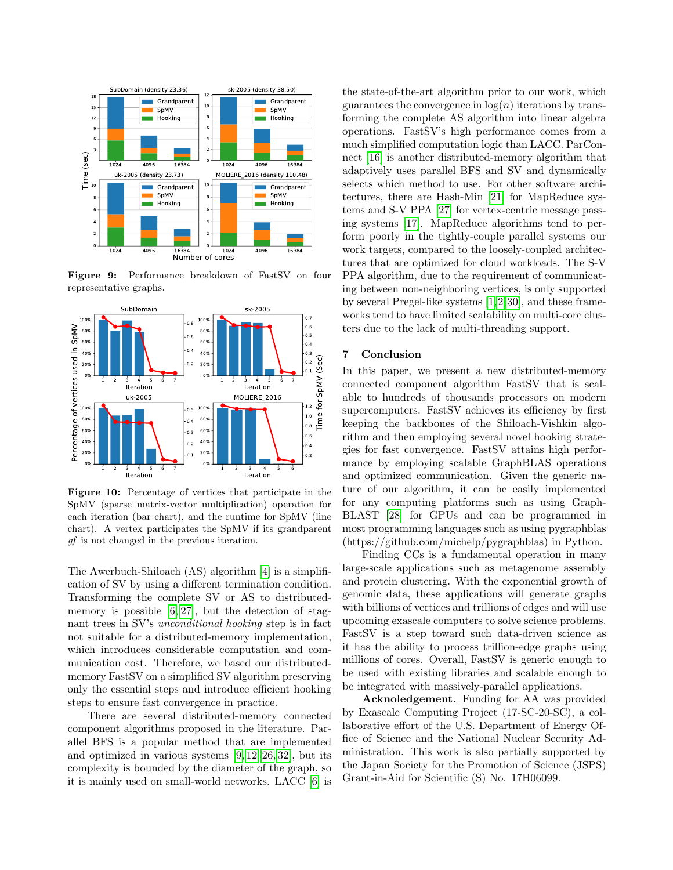<span id="page-9-0"></span>

Figure 9: Performance breakdown of FastSV on four representative graphs.

<span id="page-9-1"></span>

Figure 10: Percentage of vertices that participate in the SpMV (sparse matrix-vector multiplication) operation for each iteration (bar chart), and the runtime for SpMV (line chart). A vertex participates the SpMV if its grandparent gf is not changed in the previous iteration.

The Awerbuch-Shiloach (AS) algorithm [\[4\]](#page-10-20) is a simplification of SV by using a different termination condition. Transforming the complete SV or AS to distributedmemory is possible  $[6, 27]$  $[6, 27]$ , but the detection of stagnant trees in SV's unconditional hooking step is in fact not suitable for a distributed-memory implementation, which introduces considerable computation and communication cost. Therefore, we based our distributedmemory FastSV on a simplified SV algorithm preserving only the essential steps and introduce efficient hooking steps to ensure fast convergence in practice.

There are several distributed-memory connected component algorithms proposed in the literature. Parallel BFS is a popular method that are implemented and optimized in various systems [\[9,](#page-10-22) [12,](#page-10-23) [26,](#page-10-24) [32\]](#page-11-2), but its complexity is bounded by the diameter of the graph, so it is mainly used on small-world networks. LACC [\[6\]](#page-10-4) is

the state-of-the-art algorithm prior to our work, which guarantees the convergence in  $log(n)$  iterations by transforming the complete AS algorithm into linear algebra operations. FastSV's high performance comes from a much simplified computation logic than LACC. ParConnect [\[16\]](#page-10-5) is another distributed-memory algorithm that adaptively uses parallel BFS and SV and dynamically selects which method to use. For other software architectures, there are Hash-Min [\[21\]](#page-10-6) for MapReduce systems and S-V PPA [\[27\]](#page-10-21) for vertex-centric message passing systems [\[17\]](#page-10-25). MapReduce algorithms tend to perform poorly in the tightly-couple parallel systems our work targets, compared to the loosely-coupled architectures that are optimized for cloud workloads. The S-V PPA algorithm, due to the requirement of communicating between non-neighboring vertices, is only supported by several Pregel-like systems [\[1,](#page-10-26)[2,](#page-10-27)[30\]](#page-10-28), and these frameworks tend to have limited scalability on multi-core clusters due to the lack of multi-threading support.

## 7 Conclusion

In this paper, we present a new distributed-memory connected component algorithm FastSV that is scalable to hundreds of thousands processors on modern supercomputers. FastSV achieves its efficiency by first keeping the backbones of the Shiloach-Vishkin algorithm and then employing several novel hooking strategies for fast convergence. FastSV attains high performance by employing scalable GraphBLAS operations and optimized communication. Given the generic nature of our algorithm, it can be easily implemented for any computing platforms such as using Graph-BLAST [\[28\]](#page-10-29) for GPUs and can be programmed in most programming languages such as using pygraphblas (https://github.com/michelp/pygraphblas) in Python.

Finding CCs is a fundamental operation in many large-scale applications such as metagenome assembly and protein clustering. With the exponential growth of genomic data, these applications will generate graphs with billions of vertices and trillions of edges and will use upcoming exascale computers to solve science problems. FastSV is a step toward such data-driven science as it has the ability to process trillion-edge graphs using millions of cores. Overall, FastSV is generic enough to be used with existing libraries and scalable enough to be integrated with massively-parallel applications.

Acknoledgement. Funding for AA was provided by Exascale Computing Project (17-SC-20-SC), a collaborative effort of the U.S. Department of Energy Office of Science and the National Nuclear Security Administration. This work is also partially supported by the Japan Society for the Promotion of Science (JSPS) Grant-in-Aid for Scientific (S) No. 17H06099.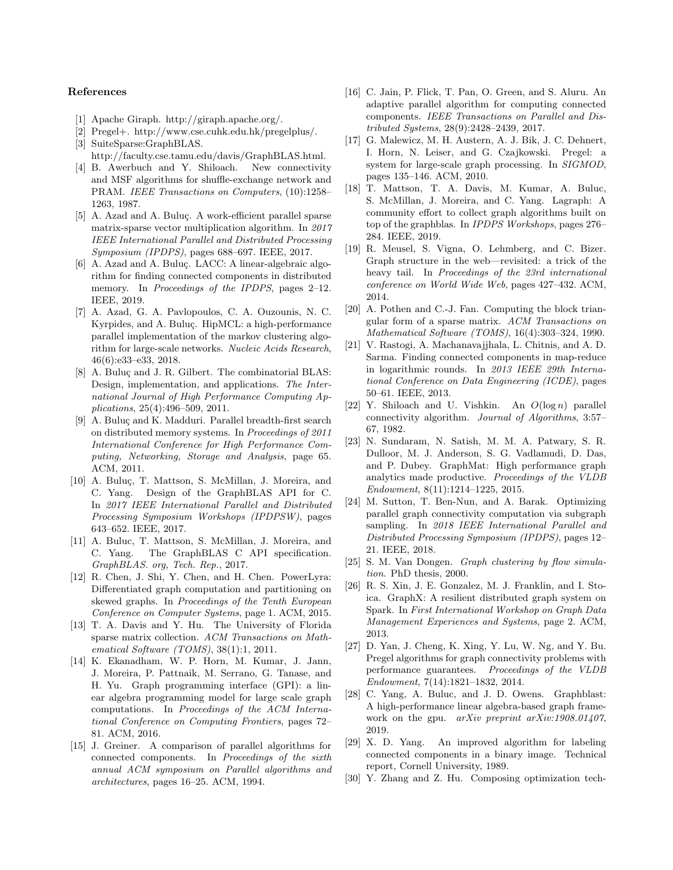#### References

- <span id="page-10-26"></span>[1] Apache Giraph. http://giraph.apache.org/.
- <span id="page-10-27"></span>[2] Pregel+. http://www.cse.cuhk.edu.hk/pregelplus/.
- <span id="page-10-16"></span>[3] SuiteSparse:GraphBLAS. http://faculty.cse.tamu.edu/davis/GraphBLAS.html.
- <span id="page-10-20"></span>[4] B. Awerbuch and Y. Shiloach. New connectivity and MSF algorithms for shuffle-exchange network and PRAM. IEEE Transactions on Computers, (10):1258– 1263, 1987.
- <span id="page-10-14"></span>[5] A. Azad and A. Buluç. A work-efficient parallel sparse matrix-sparse vector multiplication algorithm. In 2017 IEEE International Parallel and Distributed Processing Symposium (IPDPS), pages 688–697. IEEE, 2017.
- <span id="page-10-4"></span>[6] A. Azad and A. Buluc. LACC: A linear-algebraic algorithm for finding connected components in distributed memory. In Proceedings of the IPDPS, pages 2-12. IEEE, 2019.
- <span id="page-10-19"></span>[7] A. Azad, G. A. Pavlopoulos, C. A. Ouzounis, N. C. Kyrpides, and A. Buluç. HipMCL: a high-performance parallel implementation of the markov clustering algorithm for large-scale networks. Nucleic Acids Research, 46(6):e33–e33, 2018.
- <span id="page-10-8"></span>[8] A. Buluç and J. R. Gilbert. The combinatorial BLAS: Design, implementation, and applications. The International Journal of High Performance Computing Applications, 25(4):496–509, 2011.
- <span id="page-10-22"></span>[9] A. Buluc and K. Madduri. Parallel breadth-first search on distributed memory systems. In Proceedings of 2011 International Conference for High Performance Computing, Networking, Storage and Analysis, page 65. ACM, 2011.
- <span id="page-10-7"></span>[10] A. Buluc, T. Mattson, S. McMillan, J. Moreira, and C. Yang. Design of the GraphBLAS API for C. In 2017 IEEE International Parallel and Distributed Processing Symposium Workshops (IPDPSW), pages 643–652. IEEE, 2017.
- <span id="page-10-11"></span>[11] A. Buluc, T. Mattson, S. McMillan, J. Moreira, and C. Yang. The GraphBLAS C API specification. GraphBLAS. org, Tech. Rep., 2017.
- <span id="page-10-23"></span>[12] R. Chen, J. Shi, Y. Chen, and H. Chen. PowerLyra: Differentiated graph computation and partitioning on skewed graphs. In Proceedings of the Tenth European Conference on Computer Systems, page 1. ACM, 2015.
- <span id="page-10-18"></span>[13] T. A. Davis and Y. Hu. The University of Florida sparse matrix collection. ACM Transactions on Mathematical Software (TOMS), 38(1):1, 2011.
- <span id="page-10-9"></span>[14] K. Ekanadham, W. P. Horn, M. Kumar, J. Jann, J. Moreira, P. Pattnaik, M. Serrano, G. Tanase, and H. Yu. Graph programming interface (GPI): a linear algebra programming model for large scale graph computations. In Proceedings of the ACM International Conference on Computing Frontiers, pages 72– 81. ACM, 2016.
- <span id="page-10-13"></span>[15] J. Greiner. A comparison of parallel algorithms for connected components. In Proceedings of the sixth annual ACM symposium on Parallel algorithms and architectures, pages 16–25. ACM, 1994.
- <span id="page-10-5"></span>[16] C. Jain, P. Flick, T. Pan, O. Green, and S. Aluru. An adaptive parallel algorithm for computing connected components. IEEE Transactions on Parallel and Distributed Systems, 28(9):2428–2439, 2017.
- <span id="page-10-25"></span>[17] G. Malewicz, M. H. Austern, A. J. Bik, J. C. Dehnert, I. Horn, N. Leiser, and G. Czajkowski. Pregel: a system for large-scale graph processing. In SIGMOD, pages 135–146. ACM, 2010.
- <span id="page-10-17"></span>[18] T. Mattson, T. A. Davis, M. Kumar, A. Buluc, S. McMillan, J. Moreira, and C. Yang. Lagraph: A community effort to collect graph algorithms built on top of the graphblas. In IPDPS Workshops, pages 276– 284. IEEE, 2019.
- <span id="page-10-15"></span>[19] R. Meusel, S. Vigna, O. Lehmberg, and C. Bizer. Graph structure in the web—revisited: a trick of the heavy tail. In Proceedings of the 23rd international conference on World Wide Web, pages 427–432. ACM, 2014.
- <span id="page-10-2"></span>[20] A. Pothen and C.-J. Fan. Computing the block triangular form of a sparse matrix. ACM Transactions on Mathematical Software (TOMS), 16(4):303–324, 1990.
- <span id="page-10-6"></span>[21] V. Rastogi, A. Machanavajjhala, L. Chitnis, and A. D. Sarma. Finding connected components in map-reduce in logarithmic rounds. In 2013 IEEE 29th International Conference on Data Engineering (ICDE), pages 50–61. IEEE, 2013.
- <span id="page-10-3"></span>[22] Y. Shiloach and U. Vishkin. An  $O(\log n)$  parallel connectivity algorithm. Journal of Algorithms, 3:57– 67, 1982.
- <span id="page-10-10"></span>[23] N. Sundaram, N. Satish, M. M. A. Patwary, S. R. Dulloor, M. J. Anderson, S. G. Vadlamudi, D. Das, and P. Dubey. GraphMat: High performance graph analytics made productive. Proceedings of the VLDB Endowment, 8(11):1214–1225, 2015.
- <span id="page-10-12"></span>[24] M. Sutton, T. Ben-Nun, and A. Barak. Optimizing parallel graph connectivity computation via subgraph sampling. In 2018 IEEE International Parallel and Distributed Processing Symposium (IPDPS), pages 12– 21. IEEE, 2018.
- <span id="page-10-0"></span>[25] S. M. Van Dongen. Graph clustering by flow simulation. PhD thesis, 2000.
- <span id="page-10-24"></span>[26] R. S. Xin, J. E. Gonzalez, M. J. Franklin, and I. Stoica. GraphX: A resilient distributed graph system on Spark. In First International Workshop on Graph Data Management Experiences and Systems, page 2. ACM, 2013.
- <span id="page-10-21"></span>[27] D. Yan, J. Cheng, K. Xing, Y. Lu, W. Ng, and Y. Bu. Pregel algorithms for graph connectivity problems with performance guarantees. Proceedings of the VLDB Endowment, 7(14):1821–1832, 2014.
- <span id="page-10-29"></span>[28] C. Yang, A. Buluc, and J. D. Owens. Graphblast: A high-performance linear algebra-based graph framework on the gpu. arXiv preprint arXiv:1908.01407, 2019.
- <span id="page-10-1"></span>[29] X. D. Yang. An improved algorithm for labeling connected components in a binary image. Technical report, Cornell University, 1989.
- <span id="page-10-28"></span>[30] Y. Zhang and Z. Hu. Composing optimization tech-